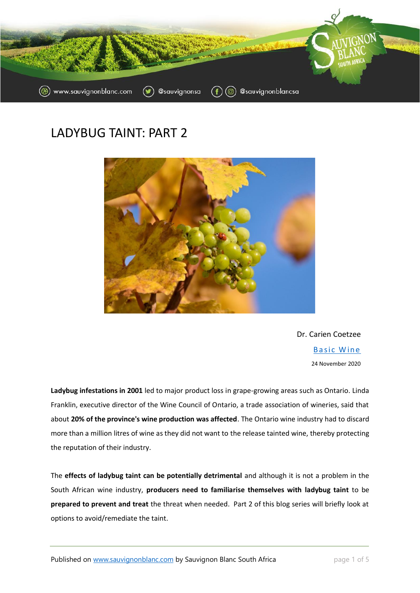

# LADYBUG TAINT: PART 2



Dr. Carien Coetzee **Basic Wine** 24 November 2020

**Ladybug infestations in 2001** led to major product loss in grape-growing areas such as Ontario. Linda Franklin, executive director of the Wine Council of Ontario, a trade association of wineries, said that about **20% of the province's wine production was affected**. The Ontario wine industry had to discard more than a million litres of wine as they did not want to the release tainted wine, thereby protecting the reputation of their industry.

The **effects of ladybug taint can be potentially detrimental** and although it is not a problem in the South African wine industry, **producers need to familiarise themselves with ladybug taint** to be **prepared to prevent and treat** the threat when needed. Part 2 of this blog series will briefly look at options to avoid/remediate the taint.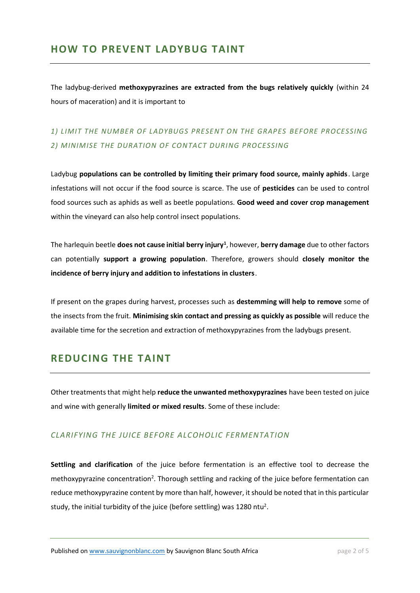## **HOW TO PREVENT LADYBUG TAINT**

The ladybug-derived **methoxypyrazines are extracted from the bugs relatively quickly** (within 24 hours of maceration) and it is important to

# *1) LIMIT THE NUMBER OF LADYBUGS PRESENT ON THE GRAPES BEFORE PROCESSING* 2) MINIMISE THE DURATION OF CONTACT DURING PROCESSING

Ladybug **populations can be controlled by limiting their primary food source, mainly aphids**. Large infestations will not occur if the food source is scarce. The use of **pesticides** can be used to control food sources such as aphids as well as beetle populations. **Good weed and cover crop management** within the vineyard can also help control insect populations.

The harlequin beetle **does not cause initial berry injury<sup>1</sup>** , however, **berry damage** due to other factors can potentially **support a growing population**. Therefore, growers should **closely monitor the incidence of berry injury and addition to infestations in clusters**.

If present on the grapes during harvest, processes such as **destemming will help to remove** some of the insects from the fruit. **Minimising skin contact and pressing as quickly as possible** will reduce the available time for the secretion and extraction of methoxypyrazines from the ladybugs present.

### **REDUCING THE TAINT**

Other treatments that might help **reduce the unwanted methoxypyrazines** have been tested on juice and wine with generally **limited or mixed results**. Some of these include:

#### *CLARIFYING THE JUICE BEFORE ALCOHOLIC FERMENTATION*

**Settling and clarification** of the juice before fermentation is an effective tool to decrease the methoxypyrazine concentration<sup>2</sup>. Thorough settling and racking of the juice before fermentation can reduce methoxypyrazine content by more than half, however, it should be noted that in this particular study, the initial turbidity of the juice (before settling) was 1280 ntu<sup>2</sup>.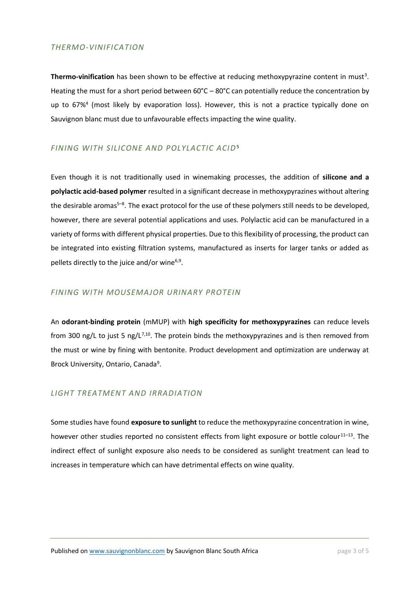#### *THERMO-VINIFICATION*

Thermo-vinification has been shown to be effective at reducing methoxypyrazine content in must<sup>3</sup>. Heating the must for a short period between  $60^{\circ}C - 80^{\circ}C$  can potentially reduce the concentration by up to 67%<sup>4</sup> (most likely by evaporation loss). However, this is not a practice typically done on Sauvignon blanc must due to unfavourable effects impacting the wine quality.

#### *FINING WITH SILICONE AND POLYLACTIC ACID*<sup>5</sup>

Even though it is not traditionally used in winemaking processes, the addition of **silicone and a polylactic acid-based polymer** resulted in a significant decrease in methoxypyrazines without altering the desirable aromas<sup>5–8</sup>. The exact protocol for the use of these polymers still needs to be developed, however, there are several potential applications and uses. Polylactic acid can be manufactured in a variety of forms with different physical properties. Due to this flexibility of processing, the product can be integrated into existing filtration systems, manufactured as inserts for larger tanks or added as pellets directly to the juice and/or wine<sup>6,9</sup>.

#### *FINING WITH MOUSEMAJOR URINARY PROTEIN*

An **odorant-binding protein** (mMUP) with **high specificity for methoxypyrazines** can reduce levels from 300 ng/L to just 5 ng/L<sup>7,10</sup>. The protein binds the methoxypyrazines and is then removed from the must or wine by fining with bentonite. Product development and optimization are underway at Brock University, Ontario, Canada<sup>9</sup>.

#### *LIGHT TREATMENT AND IRRADIATION*

Some studies have found **exposure to sunlight** to reduce the methoxypyrazine concentration in wine, however other studies reported no consistent effects from light exposure or bottle colour<sup>11-13</sup>. The indirect effect of sunlight exposure also needs to be considered as sunlight treatment can lead to increases in temperature which can have detrimental effects on wine quality.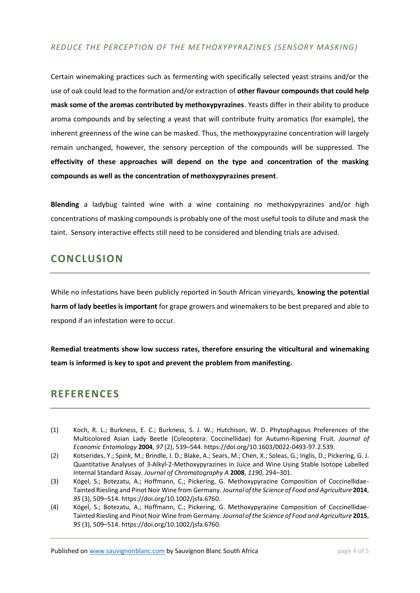#### *REDUCE THE PERCEPTION OF THE METHOXYPYRAZINES (SENSORY MASKING)*

Certain winemaking practices such as fermenting with specifically selected yeast strains and/or the use of oak could lead to the formation and/or extraction of **other flavour compounds that could help mask some of the aromas contributed by methoxypyrazines**. Yeasts differ in their ability to produce aroma compounds and by selecting a yeast that will contribute fruity aromatics (for example), the inherent greenness of the wine can be masked. Thus, the methoxypyrazine concentration will largely remain unchanged, however, the sensory perception of the compounds will be suppressed. The **effectivity of these approaches will depend on the type and concentration of the masking compounds as well as the concentration of methoxypyrazines present**.

**Blending** a ladybug tainted wine with a wine containing no methoxypyrazines and/or high concentrations of masking compounds is probably one of the most useful tools to dilute and mask the taint. Sensory interactive effects still need to be considered and blending trials are advised.

## **CONCLUSION**

While no infestations have been publicly reported in South African vineyards, **knowing the potential harm of lady beetles is important** for grape growers and winemakers to be best prepared and able to respond if an infestation were to occur.

**Remedial treatments show low success rates, therefore ensuring the viticultural and winemaking team is informed is key to spot and prevent the problem from manifesting.** 

### **REFERENCES**

- (1) Koch, R. L.; Burkness, E. C.; Burkness, S. J. W.; Hutchison, W. D. Phytophagous Preferences of the Multicolored Asian Lady Beetle (Coleoptera: Coccinellidae) for Autumn-Ripening Fruit. *Journal of Economic Entomology* **2004**, *97* (2), 539–544. https://doi.org/10.1603/0022-0493-97.2.539.
- (2) Kotserides, Y.; Spink, M.; Brindle, I. D.; Blake, A.; Sears, M.; Chen, X.; Soleas, G.; Inglis, D.; Pickering, G. J. Quantitative Analyses of 3-Alkyl-2-Methoxypyrazines in Juice and Wine Using Stable Isotope Labelled Internal Standard Assay. *Journal of Chromatography A* **2008**, *1190*, 294–301.
- (3) Kögel, S.; Botezatu, A.; Hoffmann, C.; Pickering, G. Methoxypyrazine Composition of Coccinellidae-Tainted Riesling and Pinot Noir Wine from Germany. *Journal of the Science of Food and Agriculture* **2014**, *95* (3), 509–514. https://doi.org/10.1002/jsfa.6760.
- (4) Kögel, S.; Botezatu, A.; Hoffmann, C.; Pickering, G. Methoxypyrazine Composition of Coccinellidae-Tainted Riesling and Pinot Noir Wine from Germany. *Journal of the Science of Food and Agriculture* **2015**, *95* (3), 509–514. https://doi.org/10.1002/jsfa.6760.

Published o[n www.sauvignonblanc.com](http://www.sauvignonblanc.com/) by Sauvignon Blanc South Africa **page 4 of 5** page 4 of 5